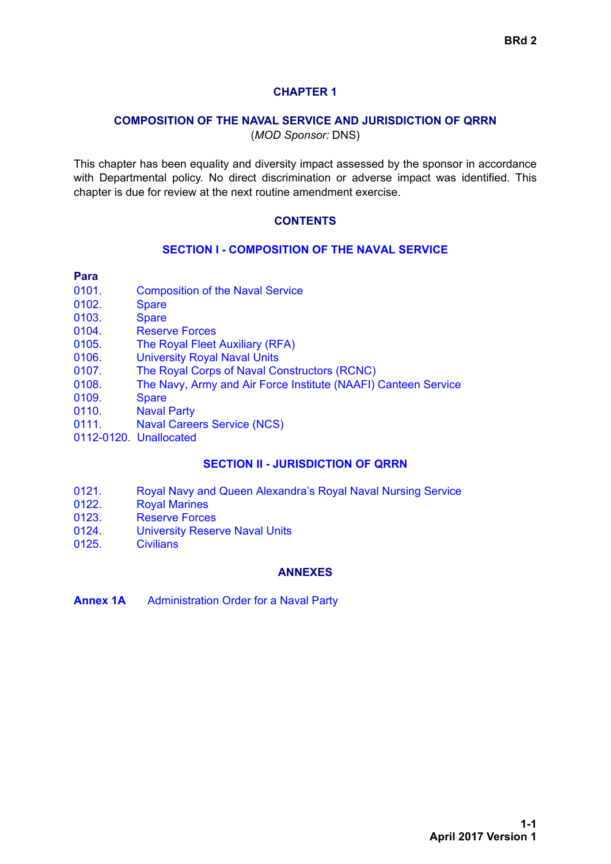# **CHAPTER 1**

### **COMPOSITION OF THE NAVAL SERVICE AND JURISDICTION OF QRRN**

(*MOD Sponsor:* DNS)

This chapter has been equality and diversity impact assessed by the sponsor in accordance with Departmental policy. No direct discrimination or adverse impact was identified. This chapter is due for review at the next routine amendment exercise.

### **CONTENTS**

#### **[SECTION I - COMPOSITION OF THE NAVAL SERVICE](#page-1-0)**

#### **Para**

- [0101. Composition of the Naval Service](#page-1-1)
- [0102. Spare](#page-1-2)
- [0103. Spare](#page-1-3)
- [0104. Reserve Forces](#page-1-4)
- [0105. The Royal Fleet Auxiliary \(RFA\)](#page-1-5)
- [0106. University Royal Naval Units](#page-1-6)
- [0107. The Royal Corps of Naval Constructors \(RCNC\)](#page-2-0)
- [0108. The Navy, Army and Air Force Institute \(NAAFI\) Canteen Service](#page-2-1)
- [0109. Spare](#page-2-2)
- [0110. Naval Party](#page-2-3)
- [0111. Naval Careers Service \(NCS\)](#page-2-4)
- 0112-0120. Unallocated

#### **[SECTION II - JURISDICTION OF QRRN](#page-3-0)**

- [0121. Royal Navy and Queen Alexandra's Royal Naval Nursing Service](#page-3-1)
- [0122. Royal Marines](#page-3-2)
- [0123. Reserve Forces](#page-3-3)
- [0124. University Reserve Naval Units](#page-3-4)
- [0125. Civilians](#page-3-5)

#### **ANNEXES**

**Annex 1A** [Administration Order for a Naval Party](#page-4-0)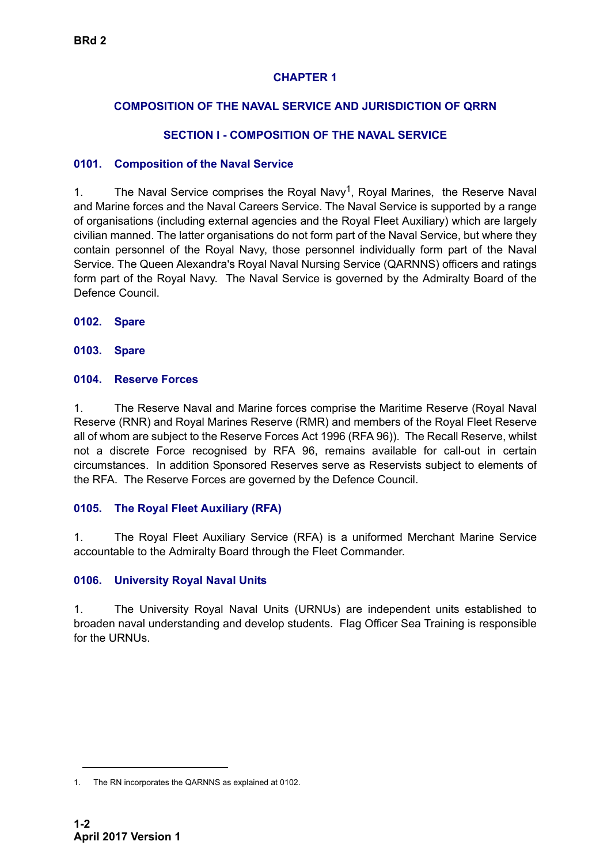# **CHAPTER 1**

# **COMPOSITION OF THE NAVAL SERVICE AND JURISDICTION OF QRRN**

# **SECTION I - COMPOSITION OF THE NAVAL SERVICE**

### <span id="page-1-1"></span><span id="page-1-0"></span>**0101. Composition of the Naval Service**

1. The Naval Service comprises the Royal Navy<sup>1</sup>, Royal Marines, the Reserve Naval and Marine forces and the Naval Careers Service. The Naval Service is supported by a range of organisations (including external agencies and the Royal Fleet Auxiliary) which are largely civilian manned. The latter organisations do not form part of the Naval Service, but where they contain personnel of the Royal Navy, those personnel individually form part of the Naval Service. The Queen Alexandra's Royal Naval Nursing Service (QARNNS) officers and ratings form part of the Royal Navy. The Naval Service is governed by the Admiralty Board of the Defence Council.

<span id="page-1-2"></span>**0102. Spare**

<span id="page-1-3"></span>**0103. Spare**

### <span id="page-1-4"></span>**0104. Reserve Forces**

1. The Reserve Naval and Marine forces comprise the Maritime Reserve (Royal Naval Reserve (RNR) and Royal Marines Reserve (RMR) and members of the Royal Fleet Reserve all of whom are subject to the Reserve Forces Act 1996 (RFA 96)). The Recall Reserve, whilst not a discrete Force recognised by RFA 96, remains available for call-out in certain circumstances. In addition Sponsored Reserves serve as Reservists subject to elements of the RFA. The Reserve Forces are governed by the Defence Council.

# <span id="page-1-5"></span>**0105. The Royal Fleet Auxiliary (RFA)**

1. The Royal Fleet Auxiliary Service (RFA) is a uniformed Merchant Marine Service accountable to the Admiralty Board through the Fleet Commander.

# <span id="page-1-6"></span>**0106. University Royal Naval Units**

1. The University Royal Naval Units (URNUs) are independent units established to broaden naval understanding and develop students. Flag Officer Sea Training is responsible for the URNUs.

<sup>1.</sup> The RN incorporates the QARNNS as explained at 0102.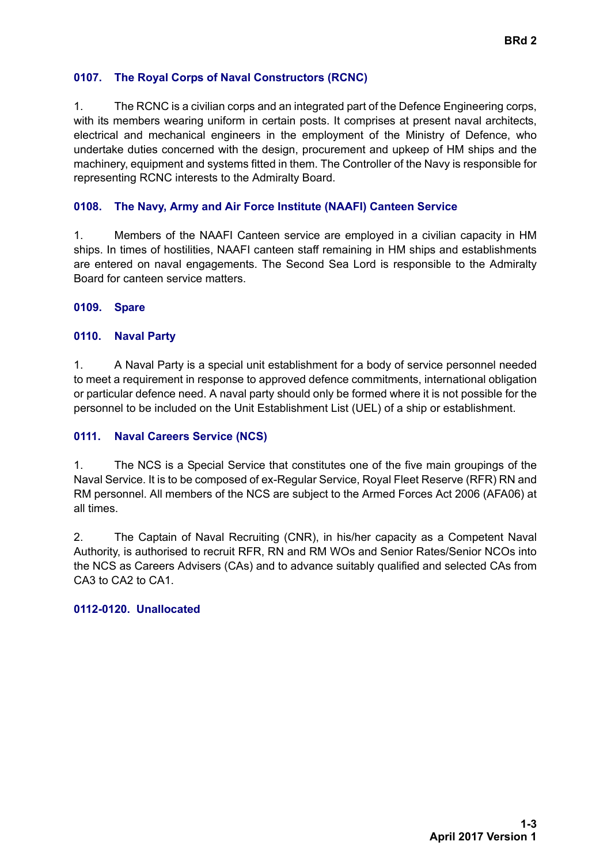### <span id="page-2-0"></span>**0107. The Royal Corps of Naval Constructors (RCNC)**

1. The RCNC is a civilian corps and an integrated part of the Defence Engineering corps, with its members wearing uniform in certain posts. It comprises at present naval architects, electrical and mechanical engineers in the employment of the Ministry of Defence, who undertake duties concerned with the design, procurement and upkeep of HM ships and the machinery, equipment and systems fitted in them. The Controller of the Navy is responsible for representing RCNC interests to the Admiralty Board.

### <span id="page-2-1"></span>**0108. The Navy, Army and Air Force Institute (NAAFI) Canteen Service**

1. Members of the NAAFI Canteen service are employed in a civilian capacity in HM ships. In times of hostilities, NAAFI canteen staff remaining in HM ships and establishments are entered on naval engagements. The Second Sea Lord is responsible to the Admiralty Board for canteen service matters.

### <span id="page-2-2"></span>**0109. Spare**

### <span id="page-2-3"></span>**0110. Naval Party**

1. A Naval Party is a special unit establishment for a body of service personnel needed to meet a requirement in response to approved defence commitments, international obligation or particular defence need. A naval party should only be formed where it is not possible for the personnel to be included on the Unit Establishment List (UEL) of a ship or establishment.

### <span id="page-2-4"></span>**0111. Naval Careers Service (NCS)**

1. The NCS is a Special Service that constitutes one of the five main groupings of the Naval Service. It is to be composed of ex-Regular Service, Royal Fleet Reserve (RFR) RN and RM personnel. All members of the NCS are subject to the Armed Forces Act 2006 (AFA06) at all times.

2. The Captain of Naval Recruiting (CNR), in his/her capacity as a Competent Naval Authority, is authorised to recruit RFR, RN and RM WOs and Senior Rates/Senior NCOs into the NCS as Careers Advisers (CAs) and to advance suitably qualified and selected CAs from CA3 to CA2 to CA1.

#### **0112-0120. Unallocated**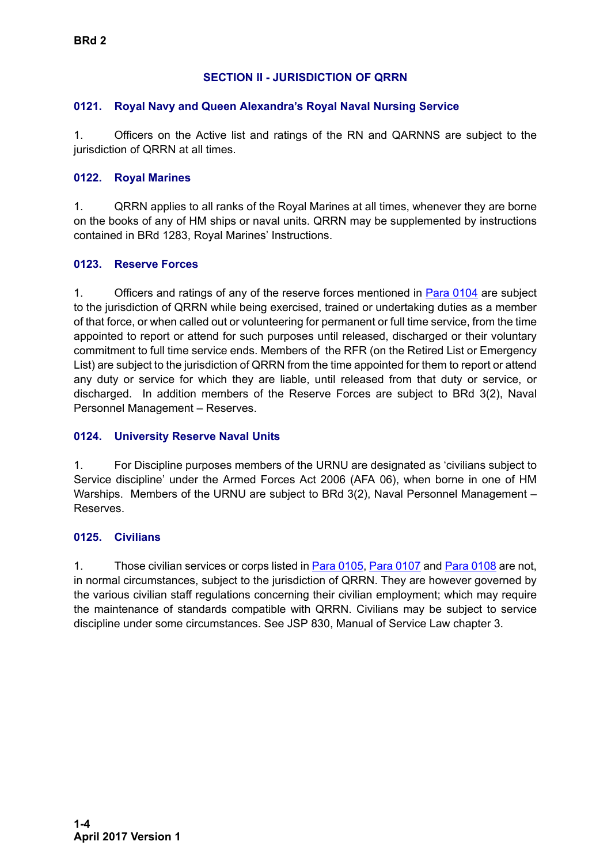# **SECTION II - JURISDICTION OF QRRN**

### <span id="page-3-1"></span><span id="page-3-0"></span>**0121. Royal Navy and Queen Alexandra's Royal Naval Nursing Service**

1. Officers on the Active list and ratings of the RN and QARNNS are subject to the jurisdiction of QRRN at all times.

### <span id="page-3-2"></span>**0122. Royal Marines**

1. QRRN applies to all ranks of the Royal Marines at all times, whenever they are borne on the books of any of HM ships or naval units. QRRN may be supplemented by instructions contained in BRd 1283, Royal Marines' Instructions.

### <span id="page-3-3"></span>**0123. Reserve Forces**

1. Officers and ratings of any of the reserve forces mentioned in **Para 0104** are subject to the jurisdiction of QRRN while being exercised, trained or undertaking duties as a member of that force, or when called out or volunteering for permanent or full time service, from the time appointed to report or attend for such purposes until released, discharged or their voluntary commitment to full time service ends. Members of the RFR (on the Retired List or Emergency List) are subject to the jurisdiction of QRRN from the time appointed for them to report or attend any duty or service for which they are liable, until released from that duty or service, or discharged. In addition members of the Reserve Forces are subject to BRd 3(2), Naval Personnel Management – Reserves.

### <span id="page-3-4"></span>**0124. University Reserve Naval Units**

1. For Discipline purposes members of the URNU are designated as 'civilians subject to Service discipline' under the Armed Forces Act 2006 (AFA 06), when borne in one of HM Warships. Members of the URNU are subject to BRd 3(2), Naval Personnel Management – Reserves.

#### <span id="page-3-5"></span>**0125. Civilians**

1. Those civilian services or corps listed in **Para 0105, [Para 0107](#page-2-0)** and **Para 0108** are not, in normal circumstances, subject to the jurisdiction of QRRN. They are however governed by the various civilian staff regulations concerning their civilian employment; which may require the maintenance of standards compatible with QRRN. Civilians may be subject to service discipline under some circumstances. See JSP 830, Manual of Service Law chapter 3.